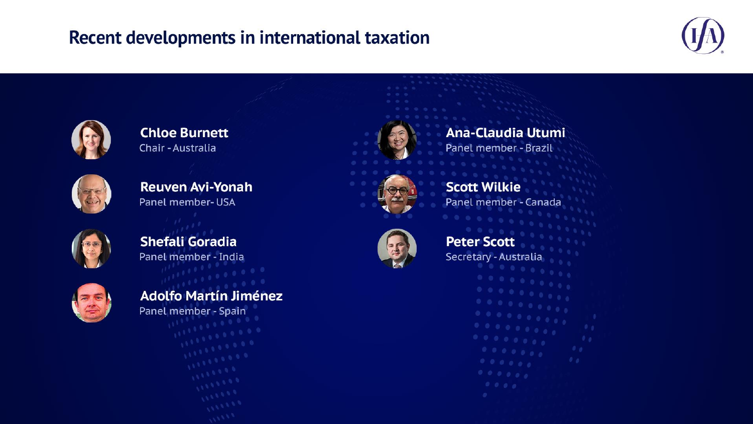#### Recent developments in international taxation





**Chloe Burnett Chair - Australia** 



**Reuven Avi-Yonah** Panel member- USA



**Shefali Goradia** Panel member - India









**Scott Wilkie** Panel member - Canada



**Peter Scott** Secretary - Australia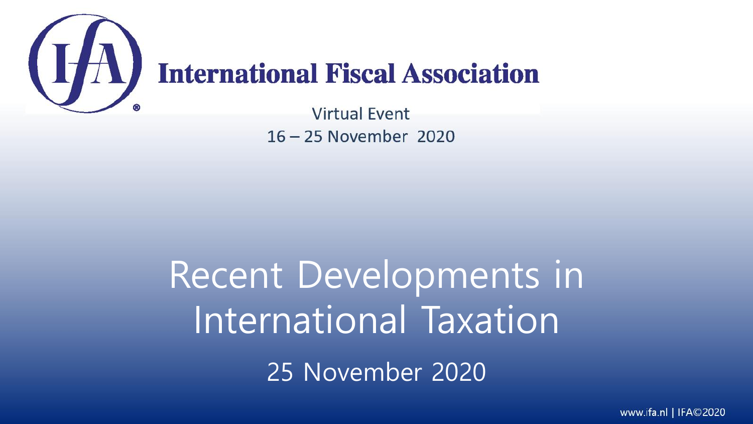

# Recent Developments in International Taxation 25 November 2020

www.ifa.nl | IFA©2020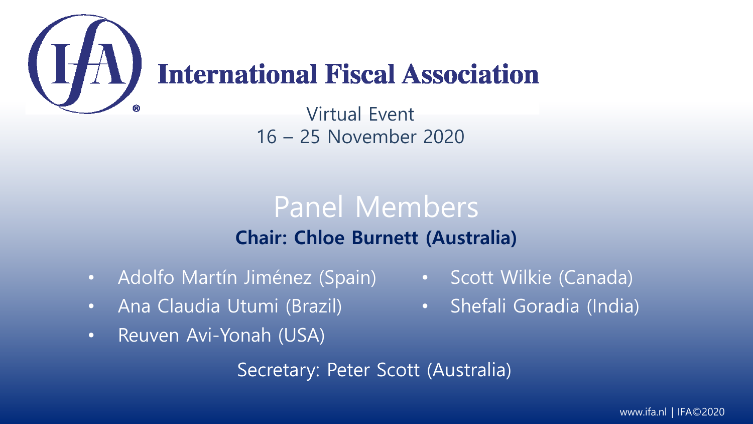

## **International Fiscal Association**

Virtual Event 16 – 25 November 2020

## Panel Members **Chair: Chloe Burnett (Australia)**

- Adolfo Martín Jiménez (Spain)
- Ana Claudia Utumi (Brazil)
- Reuven Avi-Yonah (USA)

Secretary: Peter Scott (Australia)

- Scott Wilkie (Canada)
- Shefali Goradia (India)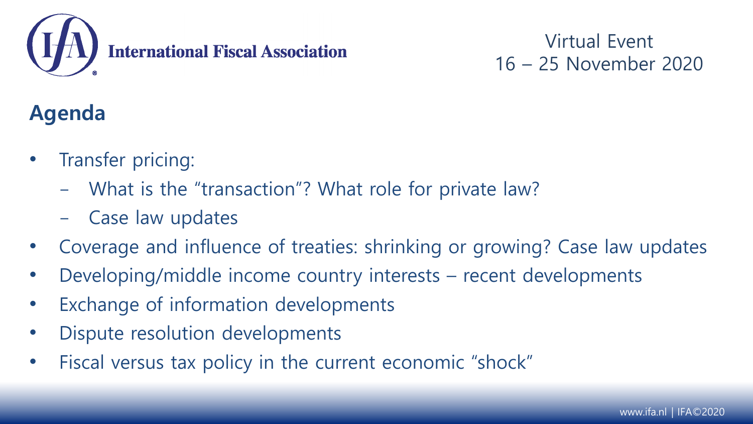

## **Agenda**

- Transfer pricing:
	- What is the "transaction"? What role for private law?
	- Case law updates
- Coverage and influence of treaties: shrinking or growing? Case law updates
- Developing/middle income country interests recent developments
- Exchange of information developments
- Dispute resolution developments
- Fiscal versus tax policy in the current economic "shock"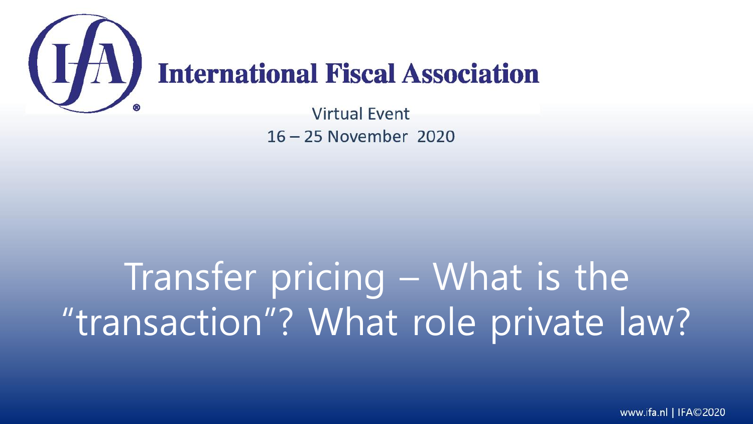

# Transfer pricing – What is the "transaction"? What role private law?

www.ifa.nl | IFA©2020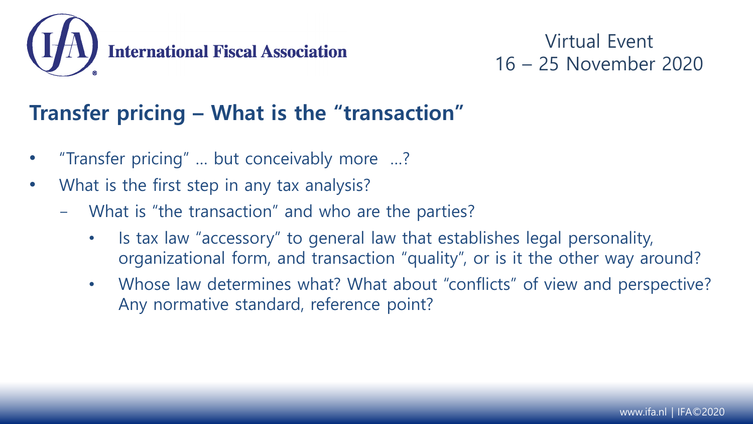

## **Transfer pricing – What is the "transaction"**

- "Transfer pricing" … but conceivably more …?
- What is the first step in any tax analysis?
	- What is "the transaction" and who are the parties?
		- Is tax law "accessory" to general law that establishes legal personality, organizational form, and transaction "quality", or is it the other way around?
		- Whose law determines what? What about "conflicts" of view and perspective? Any normative standard, reference point?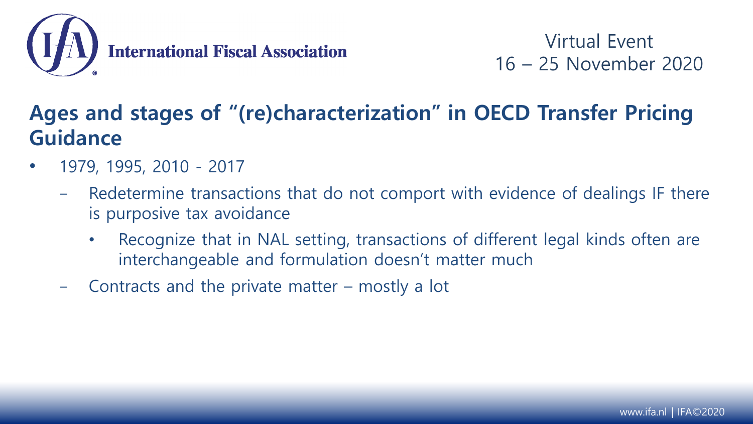

## **Ages and stages of "(re)characterization" in OECD Transfer Pricing Guidance**

- 1979, 1995, 2010 2017
	- Redetermine transactions that do not comport with evidence of dealings IF there is purposive tax avoidance
		- Recognize that in NAL setting, transactions of different legal kinds often are interchangeable and formulation doesn't matter much
	- Contracts and the private matter  $-$  mostly a lot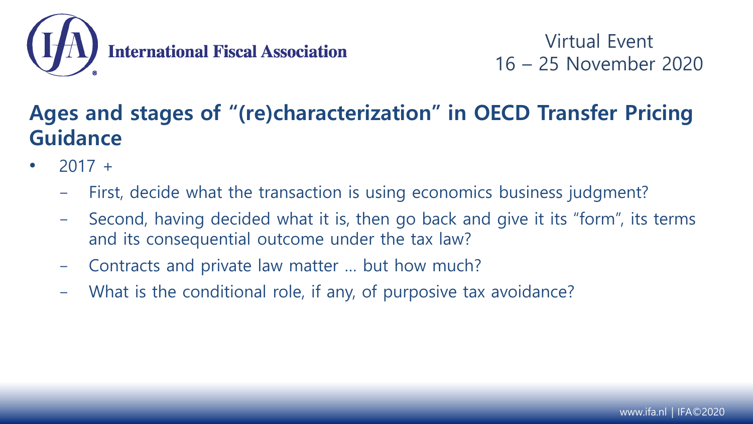

## **Ages and stages of "(re)characterization" in OECD Transfer Pricing Guidance**

- $2017 +$ 
	- First, decide what the transaction is using economics business judgment?
	- Second, having decided what it is, then go back and give it its "form", its terms and its consequential outcome under the tax law?
	- Contracts and private law matter ... but how much?
	- What is the conditional role, if any, of purposive tax avoidance?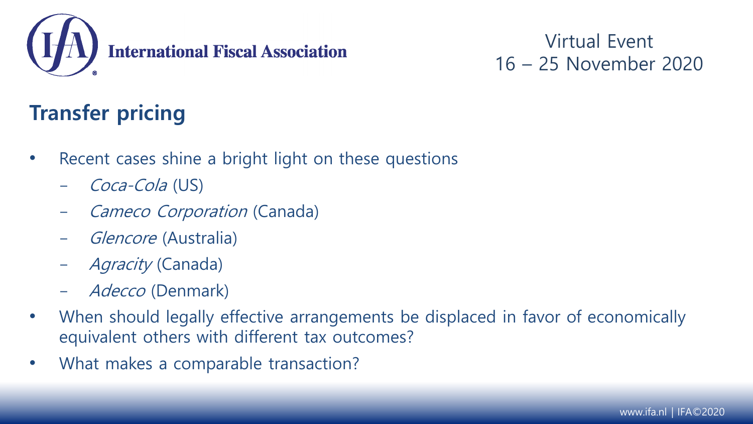

## **Transfer pricing**

- Recent cases shine a bright light on these questions
	- Coca-Cola (US)
	- Cameco Corporation (Canada)
	- *Glencore* (Australia)
	- Agracity (Canada)
	- Adecco (Denmark)
- When should legally effective arrangements be displaced in favor of economically equivalent others with different tax outcomes?
- What makes a comparable transaction?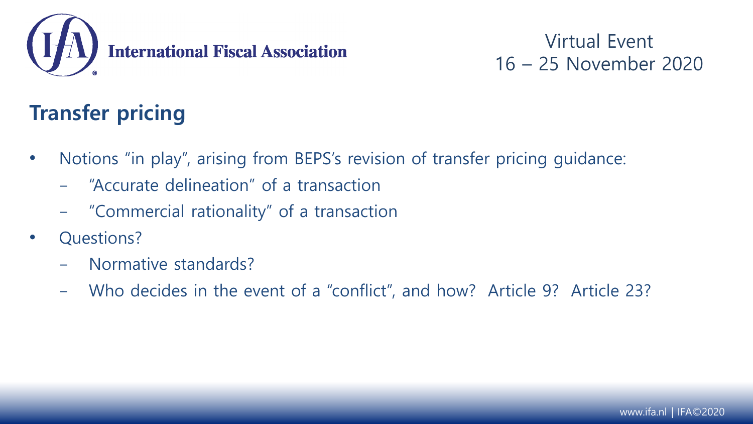

## **Transfer pricing**

- Notions "in play", arising from BEPS's revision of transfer pricing guidance:
	- "Accurate delineation" of a transaction
	- "Commercial rationality" of a transaction
- Questions?
	- Normative standards?
	- Who decides in the event of a "conflict", and how? Article 9? Article 23?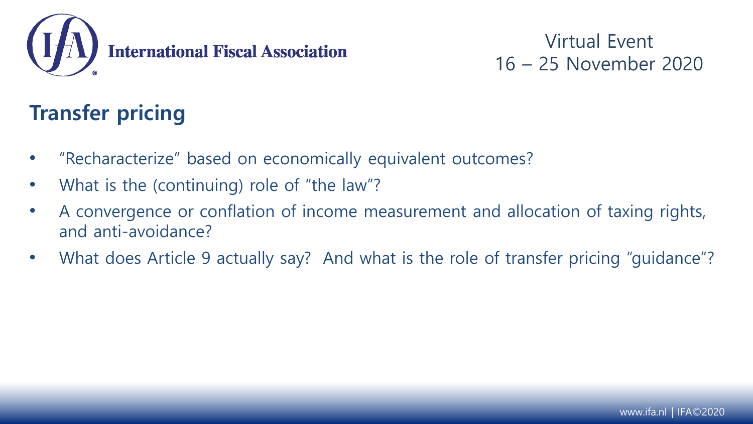

## **Transfer pricing**

- "Recharacterize" based on economically equivalent outcomes?
- What is the (continuing) role of "the law"?
- A convergence or conflation of income measurement and allocation of taxing rights, and anti-avoidance?
- What does Article 9 actually say? And what is the role of transfer pricing "guidance"?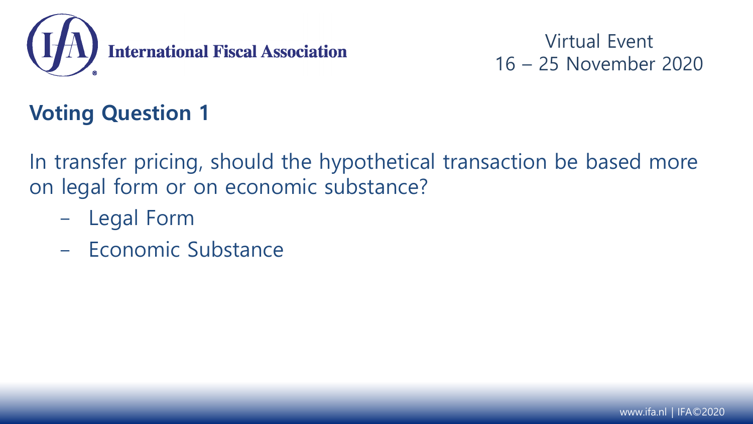

## **Voting Question 1**

In transfer pricing, should the hypothetical transaction be based more on legal form or on economic substance?

- Legal Form
- Economic Substance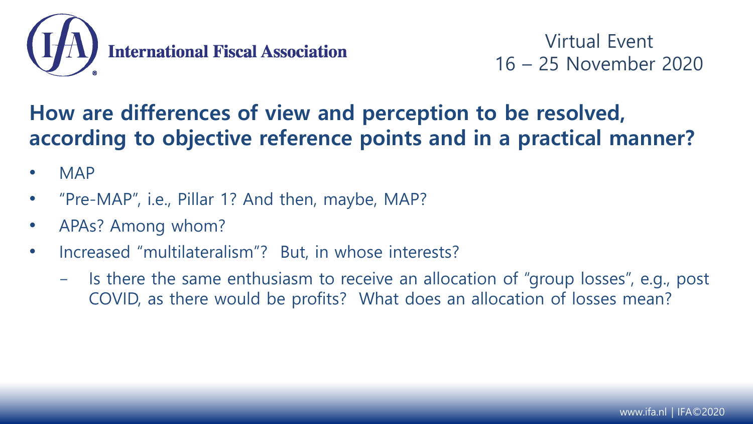

## **How are differences of view and perception to be resolved, according to objective reference points and in a practical manner?**

- MAP
- "Pre-MAP", i.e., Pillar 1? And then, maybe, MAP?
- APAs? Among whom?
- Increased "multilateralism"? But, in whose interests?
	- Is there the same enthusiasm to receive an allocation of "group losses", e.g., post COVID, as there would be profits? What does an allocation of losses mean?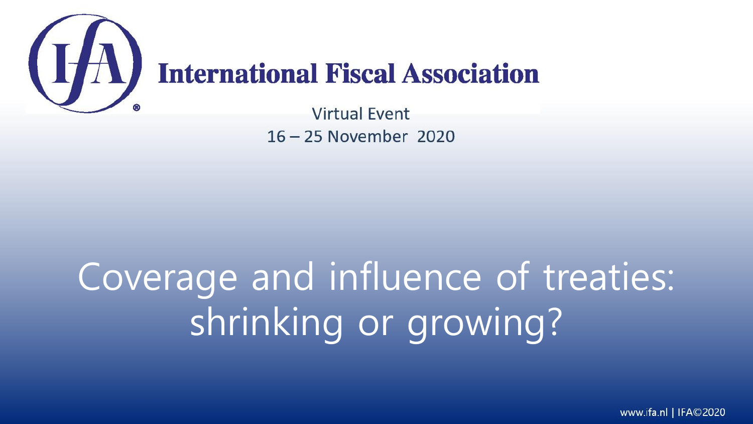

# Coverage and influence of treaties: shrinking or growing?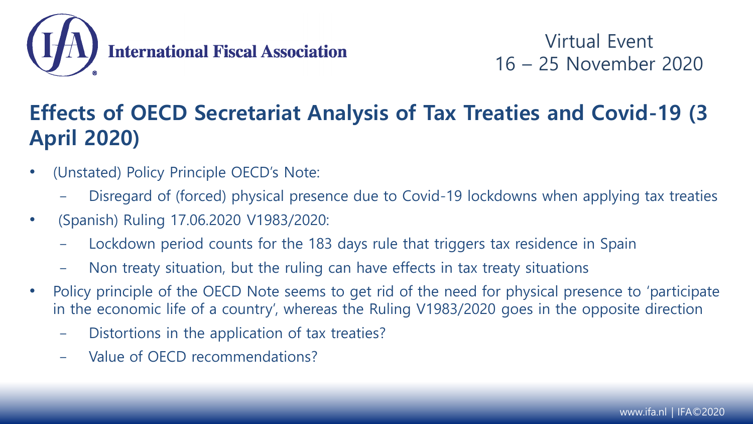

## **Effects of OECD Secretariat Analysis of Tax Treaties and Covid-19 (3 April 2020)**

- (Unstated) Policy Principle OECD's Note:
	- Disregard of (forced) physical presence due to Covid-19 lockdowns when applying tax treaties
- (Spanish) Ruling 17.06.2020 V1983/2020:
	- Lockdown period counts for the 183 days rule that triggers tax residence in Spain
	- Non treaty situation, but the ruling can have effects in tax treaty situations
- Policy principle of the OECD Note seems to get rid of the need for physical presence to 'participate in the economic life of a country', whereas the Ruling V1983/2020 goes in the opposite direction
	- Distortions in the application of tax treaties?
	- Value of OECD recommendations?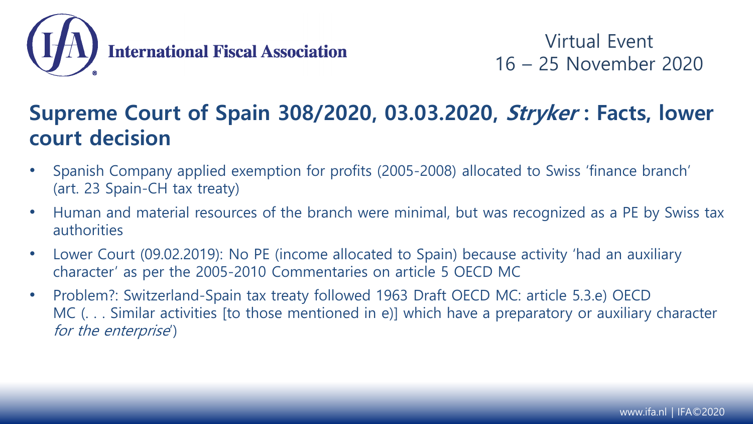

## **Supreme Court of Spain 308/2020, 03.03.2020, Stryker : Facts, lower court decision**

- Spanish Company applied exemption for profits (2005-2008) allocated to Swiss 'finance branch' (art. 23 Spain-CH tax treaty)
- Human and material resources of the branch were minimal, but was recognized as a PE by Swiss tax authorities
- Lower Court (09.02.2019): No PE (income allocated to Spain) because activity 'had an auxiliary character' as per the 2005-2010 Commentaries on article 5 OECD MC
- Problem?: Switzerland-Spain tax treaty followed 1963 Draft OECD MC: article 5.3.e) OECD MC (... Similar activities [to those mentioned in e)] which have a preparatory or auxiliary character for the enterprise')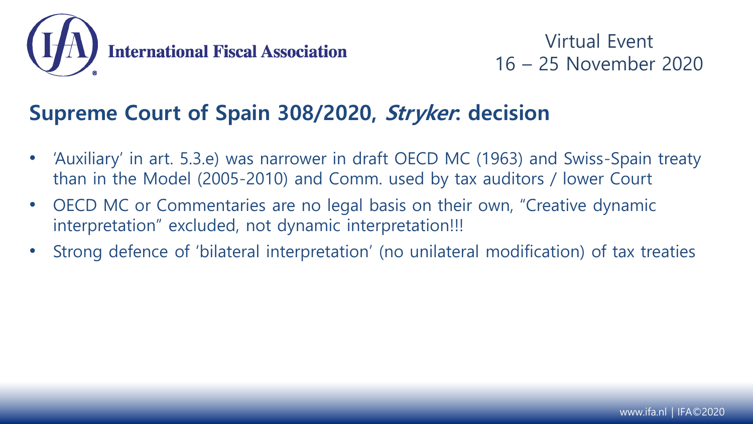

### **Supreme Court of Spain 308/2020, Stryker: decision**

- 'Auxiliary' in art. 5.3.e) was narrower in draft OECD MC (1963) and Swiss-Spain treaty than in the Model (2005-2010) and Comm. used by tax auditors / lower Court
- OECD MC or Commentaries are no legal basis on their own, "Creative dynamic interpretation" excluded, not dynamic interpretation!!!
- Strong defence of 'bilateral interpretation' (no unilateral modification) of tax treaties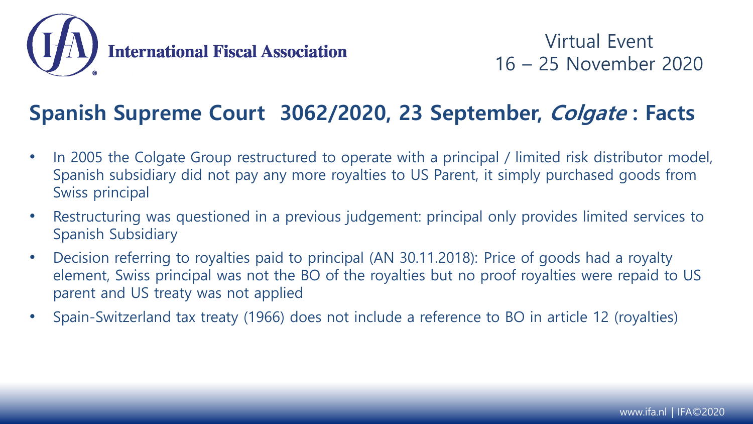

### **Spanish Supreme Court 3062/2020, 23 September, Colgate : Facts**

- In 2005 the Colgate Group restructured to operate with a principal / limited risk distributor model, Spanish subsidiary did not pay any more royalties to US Parent, it simply purchased goods from Swiss principal
- Restructuring was questioned in a previous judgement: principal only provides limited services to Spanish Subsidiary
- Decision referring to royalties paid to principal (AN 30.11.2018): Price of goods had a royalty element, Swiss principal was not the BO of the royalties but no proof royalties were repaid to US parent and US treaty was not applied
- Spain-Switzerland tax treaty (1966) does not include a reference to BO in article 12 (royalties)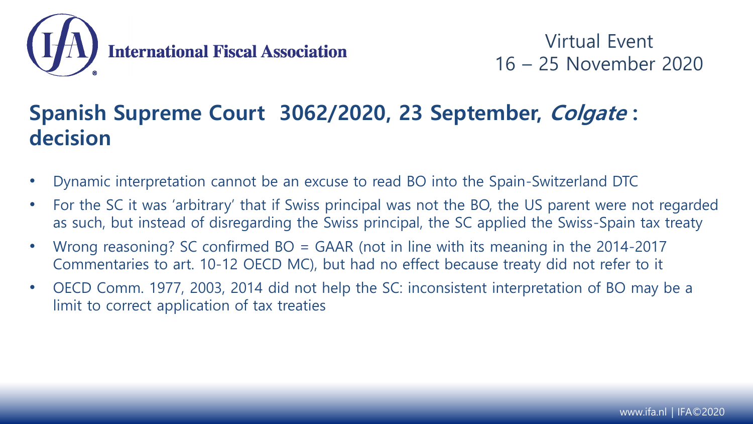

### **Spanish Supreme Court 3062/2020, 23 September, Colgate : decision**

- Dynamic interpretation cannot be an excuse to read BO into the Spain-Switzerland DTC
- For the SC it was 'arbitrary' that if Swiss principal was not the BO, the US parent were not regarded as such, but instead of disregarding the Swiss principal, the SC applied the Swiss-Spain tax treaty
- Wrong reasoning? SC confirmed  $BO = GAAR$  (not in line with its meaning in the 2014-2017 Commentaries to art. 10-12 OECD MC), but had no effect because treaty did not refer to it
- OECD Comm. 1977, 2003, 2014 did not help the SC: inconsistent interpretation of BO may be a limit to correct application of tax treaties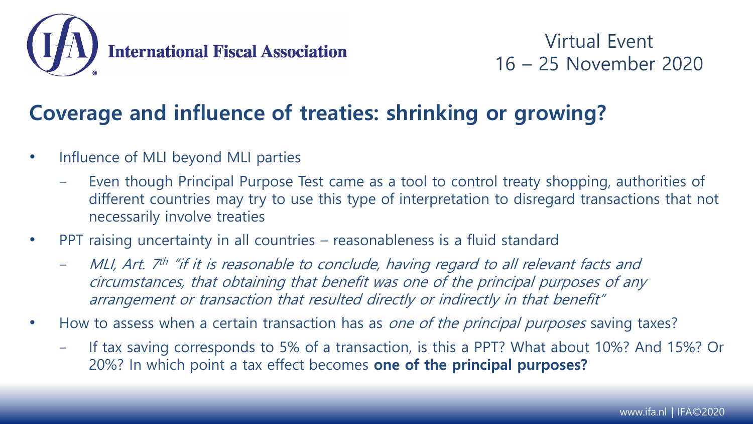

### **Coverage and influence of treaties: shrinking or growing?**

- Influence of MLI beyond MLI parties
	- Even though Principal Purpose Test came as a tool to control treaty shopping, authorities of different countries may try to use this type of interpretation to disregard transactions that not necessarily involve treaties
- PPT raising uncertainty in all countries reasonableness is a fluid standard
	- MLI, Art. 7<sup>th</sup> "if it is reasonable to conclude, having regard to all relevant facts and circumstances, that obtaining that benefit was one of the principal purposes of any arrangement or transaction that resulted directly or indirectly in that benefit"
- How to assess when a certain transaction has as *one of the principal purposes* saving taxes?
	- If tax saving corresponds to 5% of a transaction, is this a PPT? What about 10%? And 15%? Or 20%? In which point a tax effect becomes **one of the principal purposes?**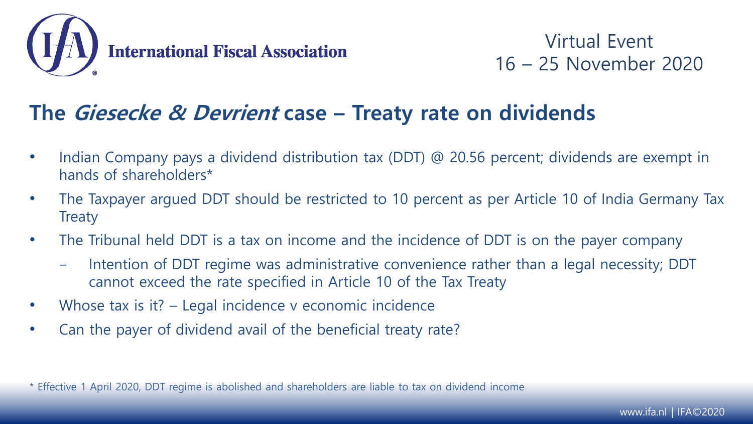

#### **The Giesecke & Devrient case – Treaty rate on dividends**

- Indian Company pays a dividend distribution tax (DDT) @ 20.56 percent; dividends are exempt in hands of shareholders\*
- The Taxpayer argued DDT should be restricted to 10 percent as per Article 10 of India Germany Tax **Treaty**
- The Tribunal held DDT is a tax on income and the incidence of DDT is on the payer company
	- Intention of DDT regime was administrative convenience rather than a legal necessity; DDT cannot exceed the rate specified in Article 10 of the Tax Treaty
- Whose tax is it? Legal incidence v economic incidence
- Can the payer of dividend avail of the beneficial treaty rate?

\* Effective 1 April 2020, DDT regime is abolished and shareholders are liable to tax on dividend income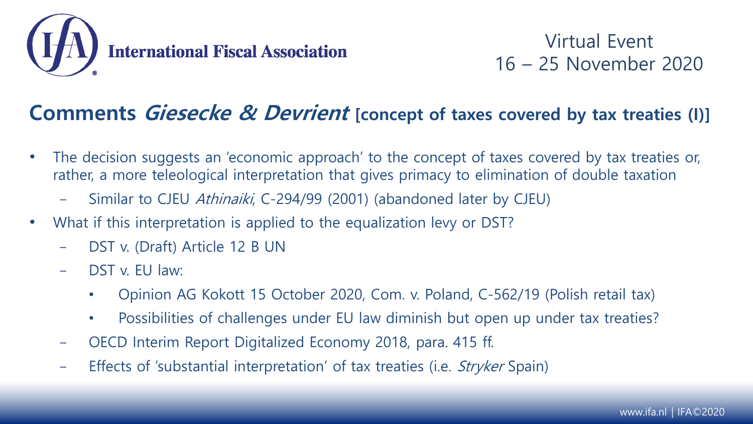

#### **Comments Giesecke & Devrient [concept of taxes covered by tax treaties (I)]**

- The decision suggests an 'economic approach' to the concept of taxes covered by tax treaties or, rather, a more teleological interpretation that gives primacy to elimination of double taxation
	- Similar to CJEU Athinaiki, C-294/99 (2001) (abandoned later by CJEU)
- What if this interpretation is applied to the equalization levy or DST?
	- DST v. (Draft) Article 12 B UN
	- DST v. FU law:
		- Opinion AG Kokott 15 October 2020, Com. v. Poland, C-562/19 (Polish retail tax)
		- Possibilities of challenges under EU law diminish but open up under tax treaties?
	- OECD Interim Report Digitalized Economy 2018, para. 415 ff.
	- Effects of 'substantial interpretation' of tax treaties (i.e. *Stryker* Spain)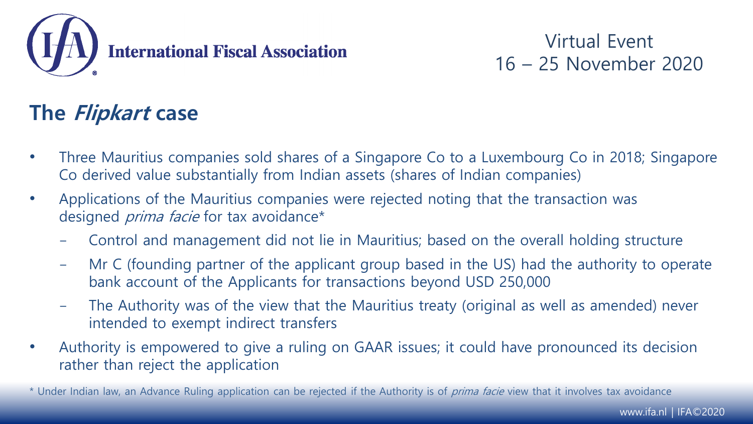

## **The Flipkart case**

- Three Mauritius companies sold shares of a Singapore Co to a Luxembourg Co in 2018; Singapore Co derived value substantially from Indian assets (shares of Indian companies)
- Applications of the Mauritius companies were rejected noting that the transaction was designed *prima facie* for tax avoidance\*
	- Control and management did not lie in Mauritius; based on the overall holding structure
	- Mr C (founding partner of the applicant group based in the US) had the authority to operate bank account of the Applicants for transactions beyond USD 250,000
	- The Authority was of the view that the Mauritius treaty (original as well as amended) never intended to exempt indirect transfers
- Authority is empowered to give a ruling on GAAR issues; it could have pronounced its decision rather than reject the application
- \* Under Indian law, an Advance Ruling application can be rejected if the Authority is of prima facie view that it involves tax avoidance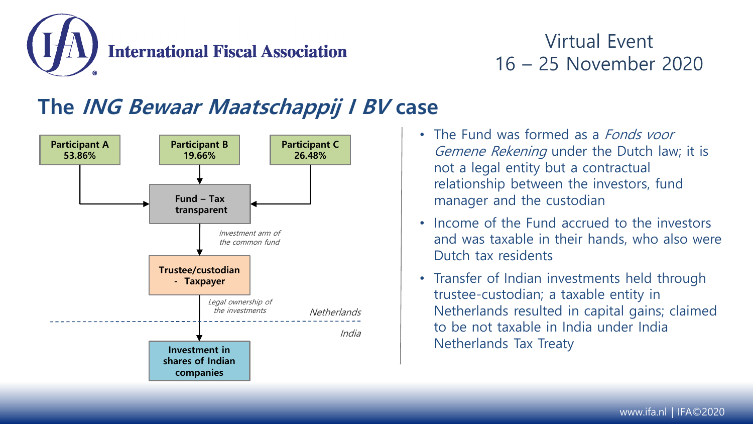

## **The ING Bewaar Maatschappij I BV case**



- The Fund was formed as a *Fonds voor* Gemene Rekening under the Dutch law; it is not a legal entity but a contractual relationship between the investors, fund manager and the custodian
- Income of the Fund accrued to the investors and was taxable in their hands, who also were Dutch tax residents
- Transfer of Indian investments held through trustee-custodian; a taxable entity in Netherlands resulted in capital gains; claimed to be not taxable in India under India Netherlands Tax Treaty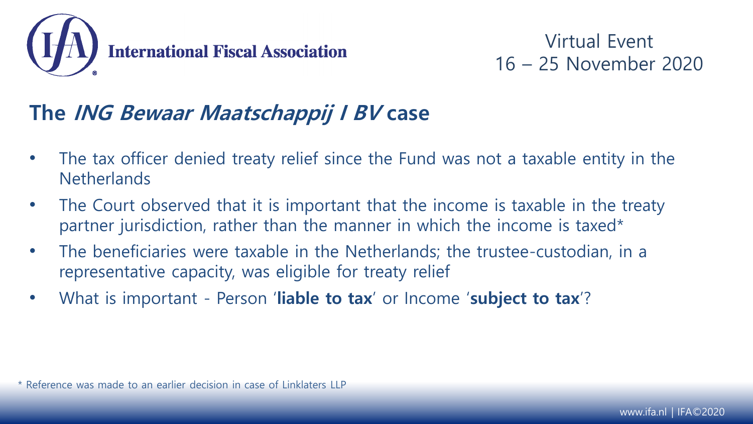

### **The ING Bewaar Maatschappij I BV case**

- The tax officer denied treaty relief since the Fund was not a taxable entity in the **Netherlands**
- The Court observed that it is important that the income is taxable in the treaty partner jurisdiction, rather than the manner in which the income is taxed\*
- The beneficiaries were taxable in the Netherlands; the trustee-custodian, in a representative capacity, was eligible for treaty relief
- What is important Person '**liable to tax**' or Income '**subject to tax**'?

\* Reference was made to an earlier decision in case of Linklaters LLP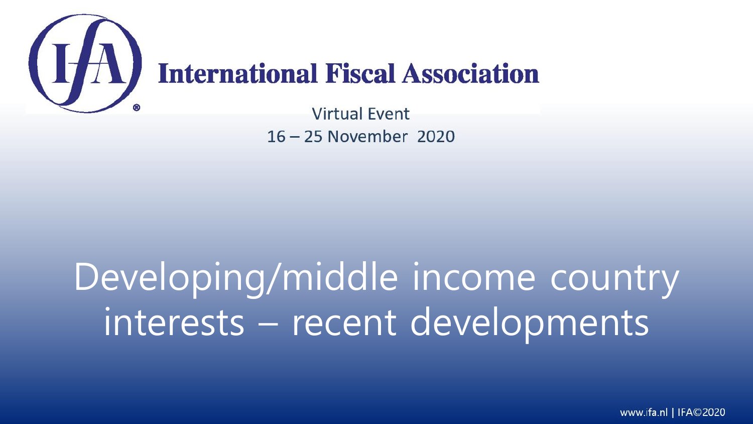

## Developing/middle income country interests – recent developments

www.ifa.nl | IFA©2020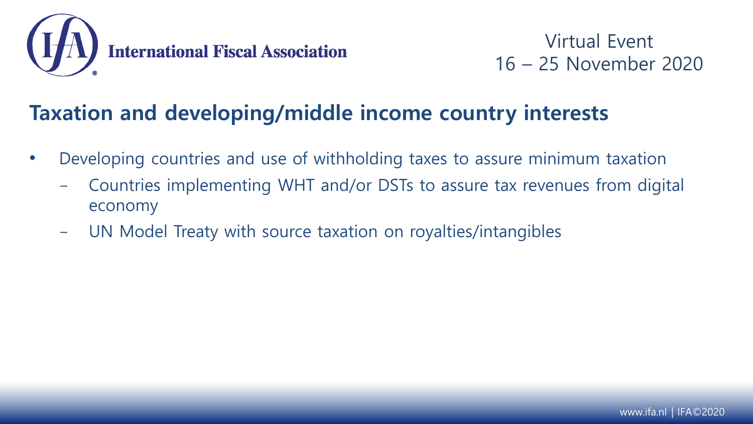

#### **Taxation and developing/middle income country interests**

- Developing countries and use of withholding taxes to assure minimum taxation
	- Countries implementing WHT and/or DSTs to assure tax revenues from digital economy
	- UN Model Treaty with source taxation on royalties/intangibles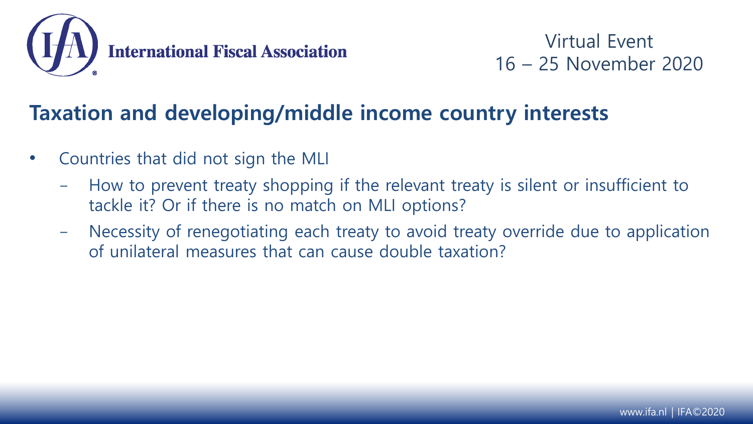

#### **Taxation and developing/middle income country interests**

- Countries that did not sign the MLI
	- How to prevent treaty shopping if the relevant treaty is silent or insufficient to tackle it? Or if there is no match on MLI options?
	- Necessity of renegotiating each treaty to avoid treaty override due to application of unilateral measures that can cause double taxation?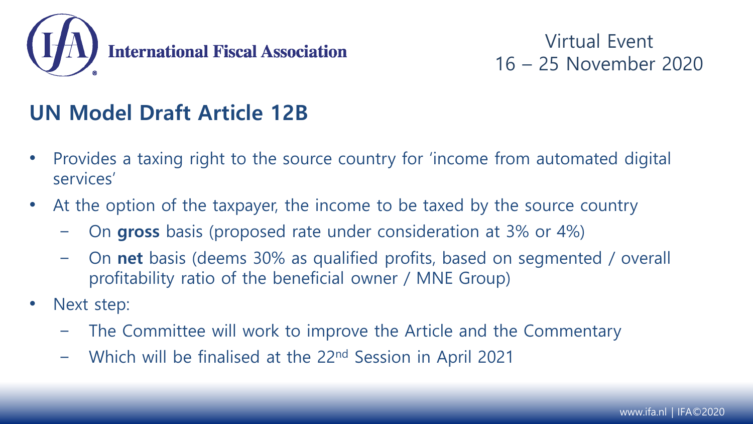

## **UN Model Draft Article 12B**

- Provides a taxing right to the source country for 'income from automated digital services'
- At the option of the taxpayer, the income to be taxed by the source country
	- On **gross** basis (proposed rate under consideration at 3% or 4%)
	- On **net** basis (deems 30% as qualified profits, based on segmented / overall profitability ratio of the beneficial owner / MNE Group)
- Next step:
	- The Committee will work to improve the Article and the Commentary
	- Which will be finalised at the 22nd Session in April 2021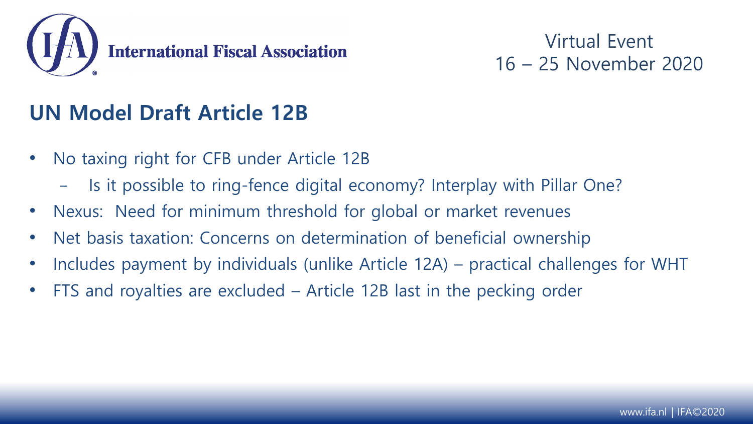

### **UN Model Draft Article 12B**

- No taxing right for CFB under Article 12B
	- Is it possible to ring-fence digital economy? Interplay with Pillar One?
- Nexus: Need for minimum threshold for global or market revenues
- Net basis taxation: Concerns on determination of beneficial ownership
- Includes payment by individuals (unlike Article 12A) practical challenges for WHT
- FTS and royalties are excluded Article 12B last in the pecking order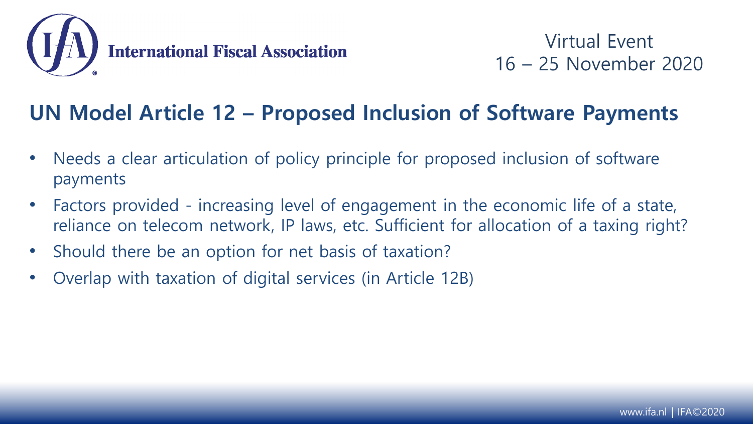

#### **UN Model Article 12 – Proposed Inclusion of Software Payments**

- Needs a clear articulation of policy principle for proposed inclusion of software payments
- Factors provided increasing level of engagement in the economic life of a state, reliance on telecom network, IP laws, etc. Sufficient for allocation of a taxing right?
- Should there be an option for net basis of taxation?
- Overlap with taxation of digital services (in Article 12B)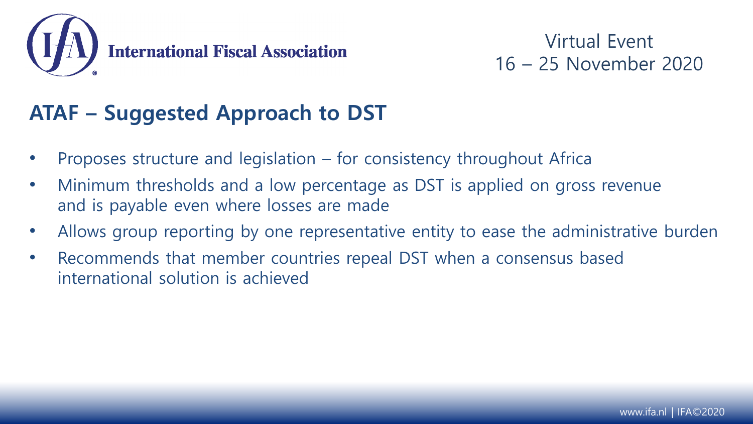

## **ATAF – Suggested Approach to DST**

- Proposes structure and legislation for consistency throughout Africa
- Minimum thresholds and a low percentage as DST is applied on gross revenue and is payable even where losses are made
- Allows group reporting by one representative entity to ease the administrative burden
- Recommends that member countries repeal DST when a consensus based international solution is achieved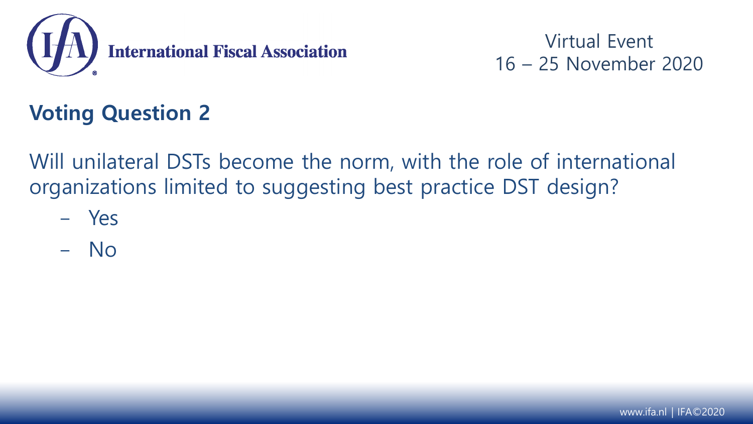

## **Voting Question 2**

Will unilateral DSTs become the norm, with the role of international organizations limited to suggesting best practice DST design?

- Yes
- No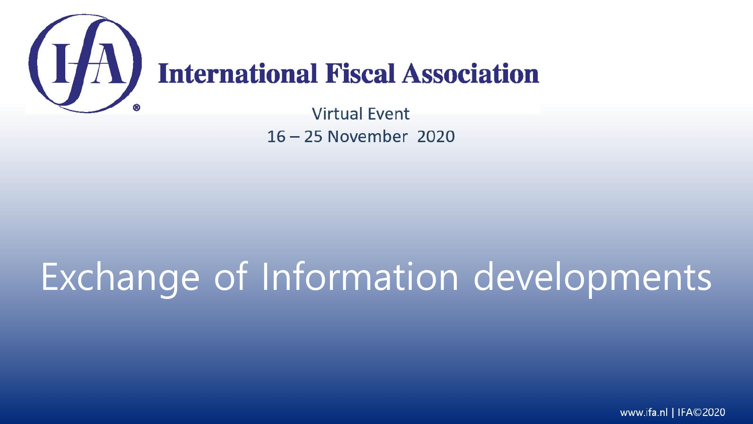

# Exchange of Information developments

www.ifa.nl | IFA©2020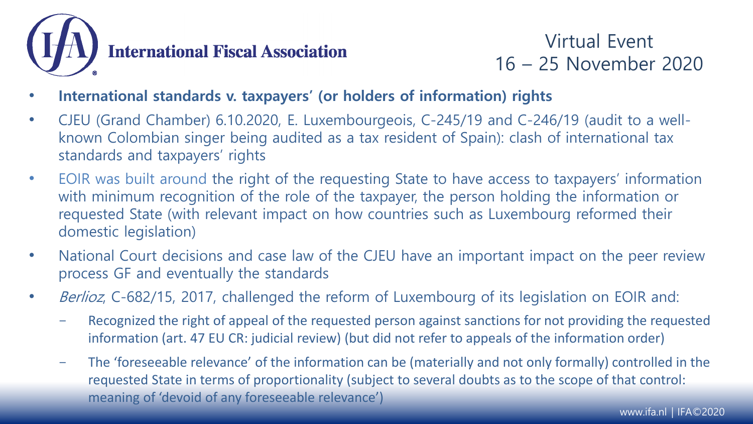

- **International standards v. taxpayers' (or holders of information) rights**
- CJEU (Grand Chamber) 6.10.2020, E. Luxembourgeois, C-245/19 and C-246/19 (audit to a wellknown Colombian singer being audited as a tax resident of Spain): clash of international tax standards and taxpayers' rights
- EOIR was built around the right of the requesting State to have access to taxpayers' information with minimum recognition of the role of the taxpayer, the person holding the information or requested State (with relevant impact on how countries such as Luxembourg reformed their domestic legislation)
- National Court decisions and case law of the CJEU have an important impact on the peer review process GF and eventually the standards
- Berlioz, C-682/15, 2017, challenged the reform of Luxembourg of its legislation on EOIR and:
	- Recognized the right of appeal of the requested person against sanctions for not providing the requested information (art. 47 EU CR: judicial review) (but did not refer to appeals of the information order)
	- The 'foreseeable relevance' of the information can be (materially and not only formally) controlled in the requested State in terms of proportionality (subject to several doubts as to the scope of that control: meaning of 'devoid of any foreseeable relevance')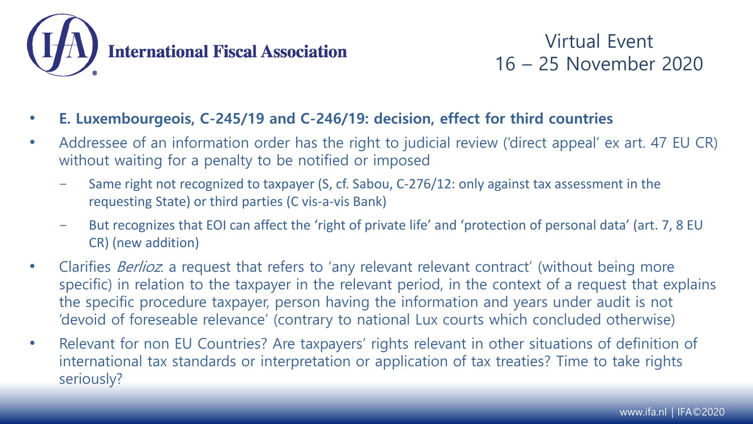

- **E. Luxembourgeois, C-245/19 and C-246/19: decision, effect for third countries**
- Addressee of an information order has the right to judicial review ('direct appeal' ex art. 47 EU CR) without waiting for a penalty to be notified or imposed
	- Same right not recognized to taxpayer (S, cf. Sabou, C-276/12: only against tax assessment in the requesting State) or third parties (C vis-a-vis Bank)
	- But recognizes that EOI can affect the 'right of private life' and 'protection of personal data' (art. 7, 8 EU CR) (new addition)
- Clarifies *Berlioz*: a request that refers to 'any relevant relevant contract' (without being more specific) in relation to the taxpayer in the relevant period, in the context of a request that explains the specific procedure taxpayer, person having the information and years under audit is not 'devoid of foreseable relevance' (contrary to national Lux courts which concluded otherwise)
- Relevant for non EU Countries? Are taxpayers' rights relevant in other situations of definition of international tax standards or interpretation or application of tax treaties? Time to take rights seriously?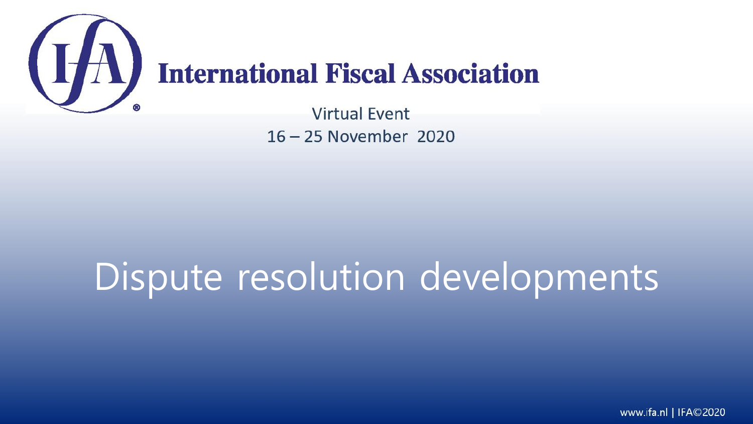

## Dispute resolution developments

www.ifa.nl | IFA©2020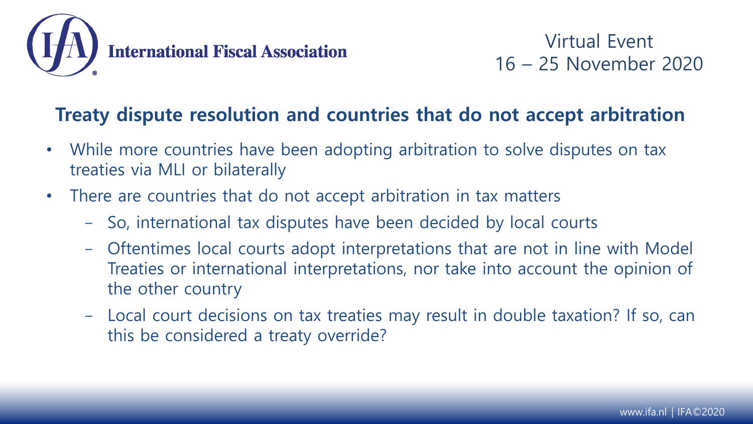

#### **Treaty dispute resolution and countries that do not accept arbitration**

- While more countries have been adopting arbitration to solve disputes on tax treaties via MLI or bilaterally
- There are countries that do not accept arbitration in tax matters
	- So, international tax disputes have been decided by local courts
	- Oftentimes local courts adopt interpretations that are not in line with Model Treaties or international interpretations, nor take into account the opinion of the other country
	- Local court decisions on tax treaties may result in double taxation? If so, can this be considered a treaty override?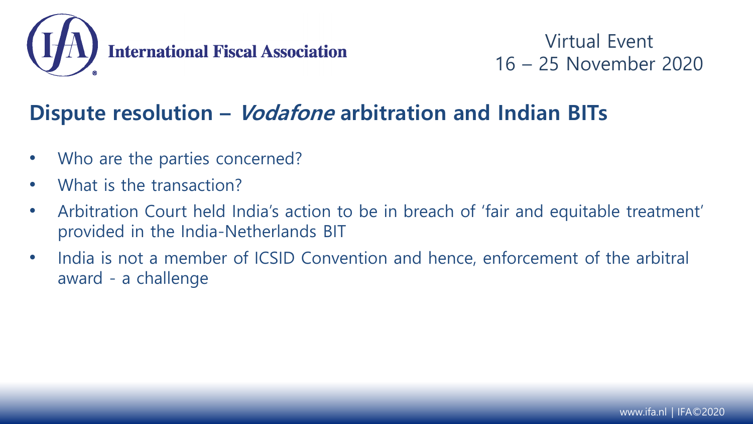

### **Dispute resolution – Vodafone arbitration and Indian BITs**

- Who are the parties concerned?
- What is the transaction?
- Arbitration Court held India's action to be in breach of 'fair and equitable treatment' provided in the India-Netherlands BIT
- India is not a member of ICSID Convention and hence, enforcement of the arbitral award - a challenge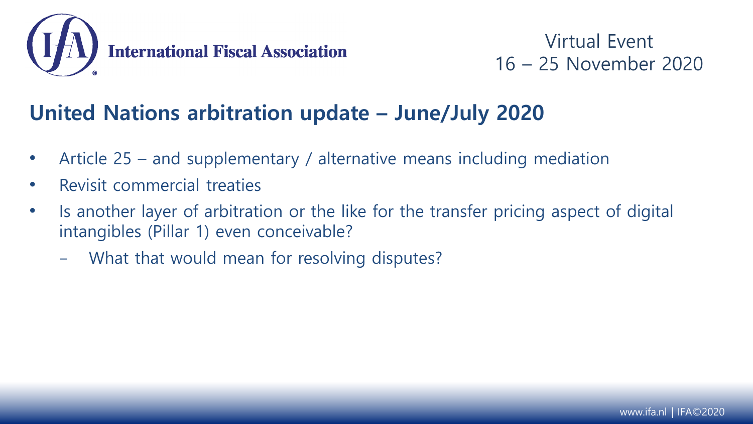

### **United Nations arbitration update – June/July 2020**

- Article 25 and supplementary / alternative means including mediation
- Revisit commercial treaties
- Is another layer of arbitration or the like for the transfer pricing aspect of digital intangibles (Pillar 1) even conceivable?
	- What that would mean for resolving disputes?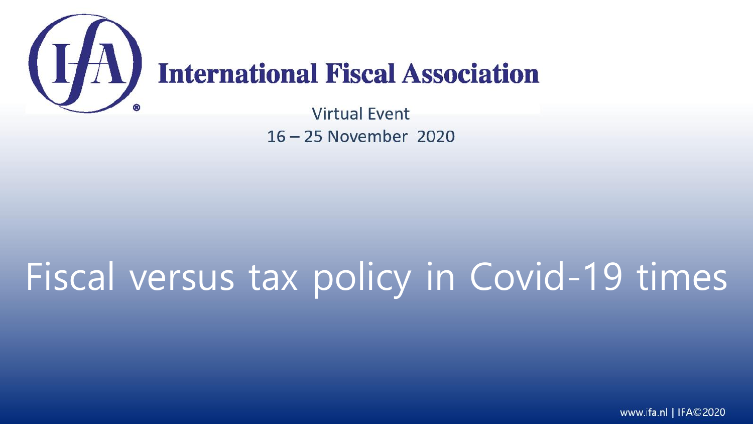

**Virtual Fvent** 16-25 November 2020

# Fiscal versus tax policy in Covid-19 times

www.ifa.nl | IFA©2020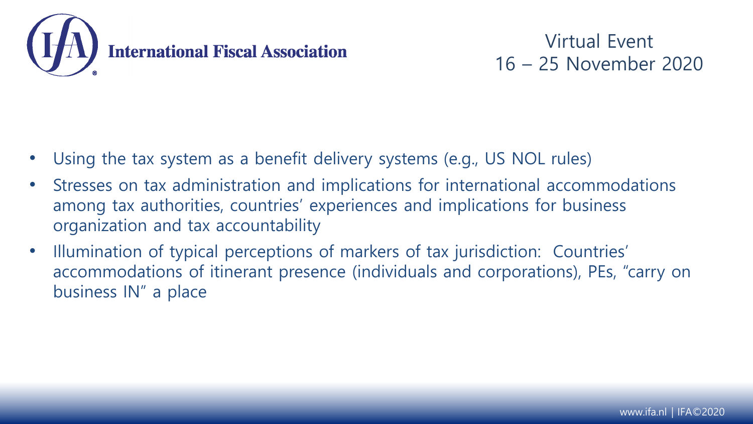

- Using the tax system as a benefit delivery systems (e.g., US NOL rules)
- Stresses on tax administration and implications for international accommodations among tax authorities, countries' experiences and implications for business organization and tax accountability
- Illumination of typical perceptions of markers of tax jurisdiction: Countries' accommodations of itinerant presence (individuals and corporations), PEs, "carry on business IN" a place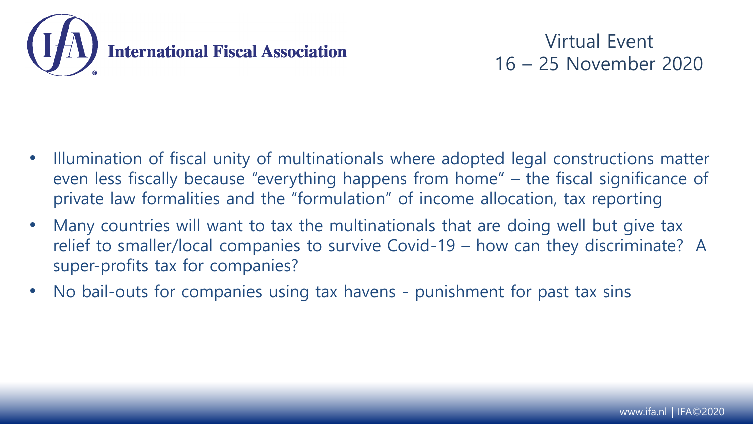

- Illumination of fiscal unity of multinationals where adopted legal constructions matter even less fiscally because "everything happens from home" – the fiscal significance of private law formalities and the "formulation" of income allocation, tax reporting
- Many countries will want to tax the multinationals that are doing well but give tax relief to smaller/local companies to survive Covid-19 – how can they discriminate? A super-profits tax for companies?
- No bail-outs for companies using tax havens punishment for past tax sins